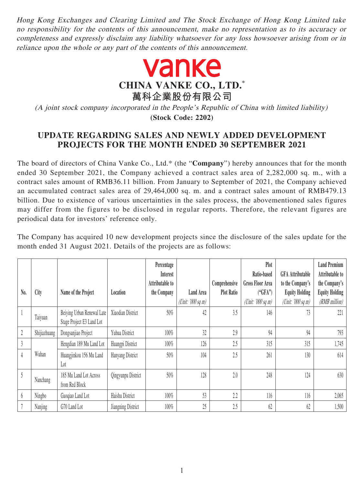Hong Kong Exchanges and Clearing Limited and The Stock Exchange of Hong Kong Limited take no responsibility for the contents of this announcement, make no representation as to its accuracy or completeness and expressly disclaim any liability whatsoever for any loss howsoever arising from or in reliance upon the whole or any part of the contents of this announcement.



(A joint stock company incorporated in the People's Republic of China with limited liability) **(Stock Code: 2202)**

## **UPDATE REGARDING SALES AND NEWLY ADDED DEVELOPMENT PROJECTS FOR THE MONTH ENDED 30 SEPTEMBER 2021**

The board of directors of China Vanke Co., Ltd.\* (the "**Company**") hereby announces that for the month ended 30 September 2021, the Company achieved a contract sales area of 2,282,000 sq. m., with a contract sales amount of RMB36.11 billion. From January to September of 2021, the Company achieved an accumulated contract sales area of 29,464,000 sq. m. and a contract sales amount of RMB479.13 billion. Due to existence of various uncertainties in the sales process, the abovementioned sales figures may differ from the figures to be disclosed in regular reports. Therefore, the relevant figures are periodical data for investors' reference only.

The Company has acquired 10 new development projects since the disclosure of the sales update for the month ended 31 August 2021. Details of the projects are as follows:

|                |              |                            |                    | Percentage<br><b>Interest</b> |                   |                   | Plot<br>Ratio-based     | <b>GFA Attributable</b> | <b>Land Premium</b><br>Attributable to |
|----------------|--------------|----------------------------|--------------------|-------------------------------|-------------------|-------------------|-------------------------|-------------------------|----------------------------------------|
|                |              |                            |                    | Attributable to               |                   | Comprehensive     | <b>Gross Floor Area</b> | to the Company's        | the Company's                          |
| N <sub>0</sub> | City         | Name of the Project        | Location           | the Company                   | Land Area         | <b>Plot Ratio</b> | ("GFA")                 | <b>Equity Holding</b>   | <b>Equity Holding</b>                  |
|                |              |                            |                    |                               | (Unit: '000 sq m) |                   | (Unit: $'000$ sq m)     | (Unit: '000 sq m)       | (RMB million)                          |
|                | Taiyuan      | Beiying Urban Renewal Late | Xiaodian District  | 50%                           | 42                | 3.5               | 146                     | 73                      | 221                                    |
|                |              | Stage Project E3 Land Lot  |                    |                               |                   |                   |                         |                         |                                        |
| 2              | Shijiazhuang | Dongsanjiao Project        | Yuhua District     | 100%                          | 32                | 2.9               | 94                      | 94                      | 793                                    |
| $\mathfrak{Z}$ |              | Hengdian 189 Mu Land Lot   | Huangpi District   | 100%                          | 126               | 2.5               | 315                     | 315                     | 1,745                                  |
| $\overline{4}$ | Wuhan        | Huangjinkou 156 Mu Land    | Hanyang District   | $50\%$                        | 104               | 2.5               | 261                     | 130                     | 614                                    |
|                |              | Lot                        |                    |                               |                   |                   |                         |                         |                                        |
| 5              |              | 185 Mu Land Lot Across     | Qingyunpu District | 50%                           | 128               | 2.0               | 248                     | 124                     | 630                                    |
|                | Nanchang     | from Red Block             |                    |                               |                   |                   |                         |                         |                                        |
| 6              | Ningbo       | Gaoqiao Land Lot           | Haishu District    | 100%                          | 53                | 2.2               | 116                     | 116                     | 2,065                                  |
|                | Nanjing      | G70 Land Lot               | Jiangning District | 100%                          | 25                | 2.5               | 62                      | 62                      | 1,500                                  |